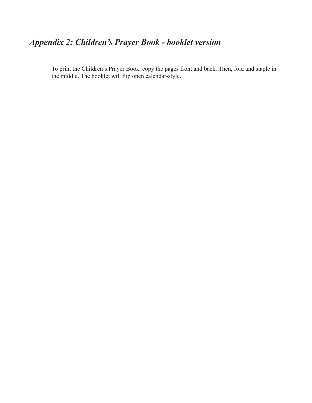## *Appendix 2: Children's Prayer Book - booklet version*

To print the Children's Prayer Book, copy the pages front and back. Then, fold and staple in the middle. The booklet will flip open calendar-style.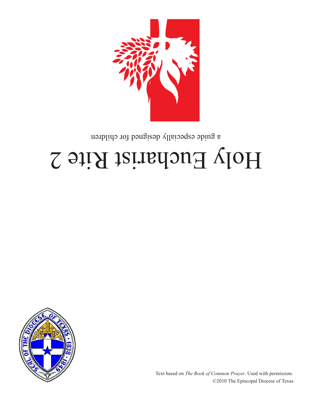

## Holy Eucharist Rite 2

a guide especially designed for children

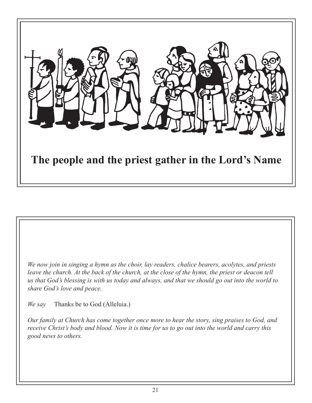

*We now join in singing a hymn as the choir, lay readers, chalice bearers, acolytes, and priests leave the church. At the back of the church, at the close of the hymn, the priest or deacon tell us that God's blessing is with us today and always, and that we should go out into the world to share God's love and peace.* 

*We say* Thanks be to God (Alleluia.)

*Our family at Church has come together once more to hear the story, sing praises to God, and receive Christ's body and blood. Now it is time for us to go out into the world and carry this good news to others.*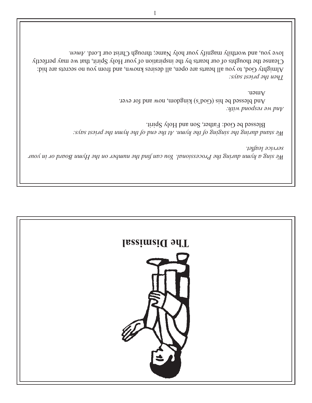

*We sing a hymn during the Processional. You can find the number on the Hymn Board or in your service leaflet.*

*We stand during the singing of the hymn. At the end of the hymn the priest says:* Blessed be God: Father, Son and Holy Spirit.

*And we respond with:* And blessed be his (God's) kingdom, now and for ever. Amen.

*Then the priest says:* Almighty God, to you all hearts are open, all desires known, and from you no secrets are hid: Cleanse the thoughts of our hearts by the inspiration of your Holy Spirit, that we may perfectly love you, and worthily magnify your holy Name; through Christ our Lord. Amen.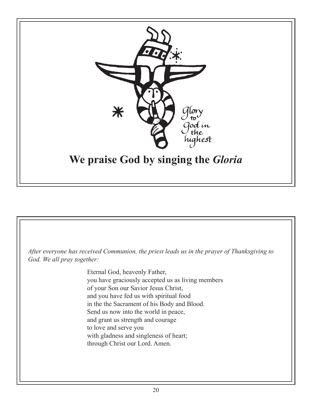

*After everyone has received Communion, the priest leads us in the prayer of Thanksgiving to God. We all pray together:*

> Eternal God, heavenly Father, you have graciously accepted us as living members of your Son our Savior Jesus Christ, and you have fed us with spiritual food in the the Sacrament of his Body and Blood. Send us now into the world in peace, and grant us strength and courage to love and serve you with gladness and singleness of heart; through Christ our Lord. Amen.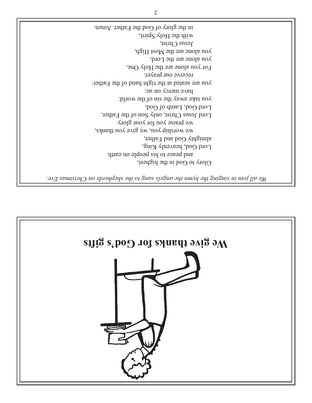

*We all join in singing the hymn the angels sang to the shepherds on Christmas Eve:*

Glory to God in the highest, and peace to his people on earth. Lord God, heavenly King, almighty God and Father, we worspip you, we give you thanks, we praise you for your glory. Lord Jesus Christ, only Son of the Father, Lord God, Lamb of God, you take away the sin of the world: have mercy on us; you are seated at the right hand of the Father: receive our prayer. For you alone are the Holy One, you alone are the Lord, you alone are the Most High, Jesus Christ, with the Holy Spirit, in the glory of God the Father. Amen.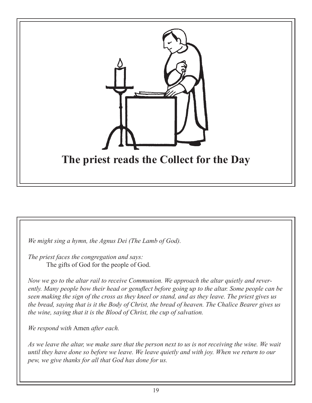

*We might sing a hymn, the Agnus Dei (The Lamb of God).* 

*The priest faces the congregation and says:* The gifts of God for the people of God.

*Now we go to the altar rail to receive Communion. We approach the altar quietly and reverently. Many people bow their head or genuflect before going up to the altar. Some people can be seen making the sign of the cross as they kneel or stand, and as they leave. The priest gives us the bread, saying that is it the Body of Christ, the bread of heaven. The Chalice Bearer gives us the wine, saying that it is the Blood of Christ, the cup of salvation.* 

*We respond with* Amen *after each.* 

*As we leave the altar, we make sure that the person next to us is not receiving the wine. We wait until they have done so before we leave. We leave quietly and with joy. When we return to our pew, we give thanks for all that God has done for us.*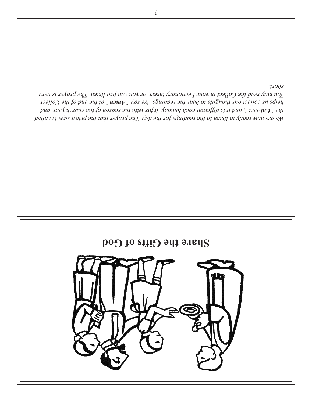

*We are now ready to listen to the readings for the day. The prayer that the priest says is called -lect", and it is different each Sunday. It fits with the season of the church year, and Col the " " at the end of the Collect. Amen helps us collect our thoughts to hear the readings. We say " You may read the Collect in your Lectionary insert, or you can just listen. The prayer is very* 

*short.*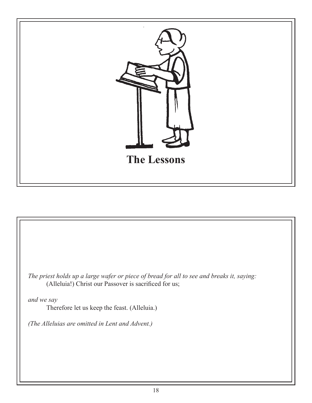

*The priest holds up a large wafer or piece of bread for all to see and breaks it, saying:* (Alleluia!) Christ our Passover is sacrificed for us; *and we say* Therefore let us keep the feast. (Alleluia.) *(The Alleluias are omitted in Lent and Advent.)*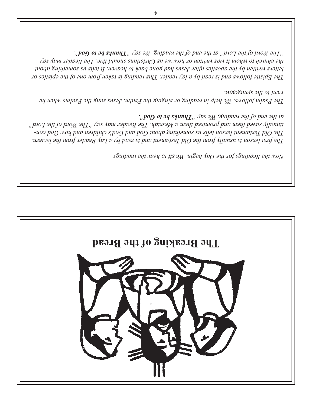

*Now the Readings for the Day begin. We sit to hear the readings.*

*The first lesson is usually from the Old Testament and is read by a Lay Reader from the lectern. - The Old Testament lesson tells us something about God and God's children and how God con tinually saved them and promised them a Messiah. The Reader may say "The Word of the Lord" ". Thanks be to God at the end of the reading. We say "*

*The Psalm follows. We help in reading or singing the Psalm. Jesus sang the Psalms when he went to the synagogue.* 

*The Epistle follows and is read by a lay reader. This reading is taken from one of the epistles or letters written by the apostles after Jesus had gone back to heaven. It tells us something about the church to whom it was written or how we as Christians should live. The Reader may say ". Thanks be to God "The Word of the Lord" at the end of the reading. We say "*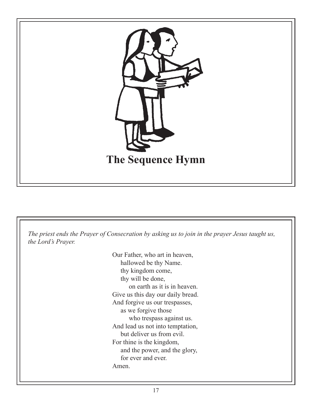

*The priest ends the Prayer of Consecration by asking us to join in the prayer Jesus taught us, the Lord's Prayer.* 

> Our Father, who art in heaven, hallowed be thy Name. thy kingdom come, thy will be done, on earth as it is in heaven. Give us this day our daily bread. And forgive us our trespasses, as we forgive those who trespass against us. And lead us not into temptation, but deliver us from evil. For thine is the kingdom, and the power, and the glory, for ever and ever. Amen.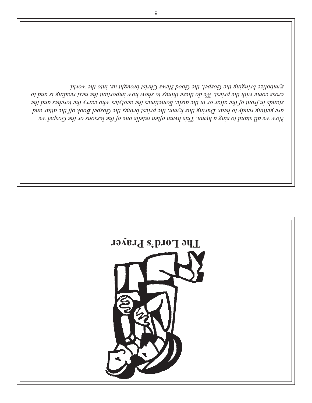

*Now we all stand to sing a hymn. This hymn often retells one of the lessons or the Gospel we are getting ready to hear. During this hymn, the priest brings the Gospel Book off the altar and stands in front of the altar or in the aisle. Sometimes the acolytes who carry the torches and the cross come with the priest. We do these things to show how important the next reading is and to symbolize bringing the Gospel, the Good News Christ brought us, into the world.*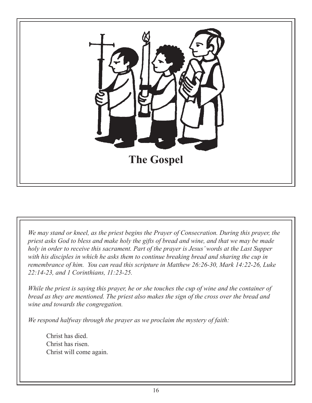

*We may stand or kneel, as the priest begins the Prayer of Consecration. During this prayer, the priest asks God to bless and make holy the gifts of bread and wine, and that we may be made holy in order to receive this sacrament. Part of the prayer is Jesus' words at the Last Supper with his disciples in which he asks them to continue breaking bread and sharing the cup in remembrance of him. You can read this scripture in Matthew 26:26-30, Mark 14:22-26, Luke 22:14-23, and 1 Corinthians, 11:23-25.*

*While the priest is saying this prayer, he or she touches the cup of wine and the container of bread as they are mentioned. The priest also makes the sign of the cross over the bread and wine and towards the congregation.* 

*We respond halfway through the prayer as we proclaim the mystery of faith:*

Christ has died. Christ has risen. Christ will come again.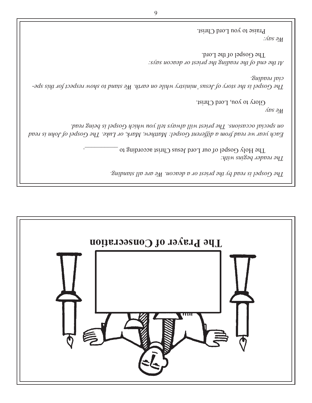*We say:* Praise to you Lord Christ.

*At the end of the reading the priest or deacon says:* The Gospel of the Lord.

*- The Gospel is the story of Jesus' ministry while on earth. We stand to show respect for this spe cial reading.* 

> *We say* Glory to you, Lord Christ.

*Each year we read from a different Gospel: Matthew, Mark, or Luke. The Gospel of John is read ead. on special occasions. The priest will always tell you which Gospel is being r*

> *The reader begins with:* The Holy Gospel of our Lord Jesus Christ according to  $\overline{\phantom{a}}$

> *The Gospel is read by the priest or a deacon. We are all standing.*

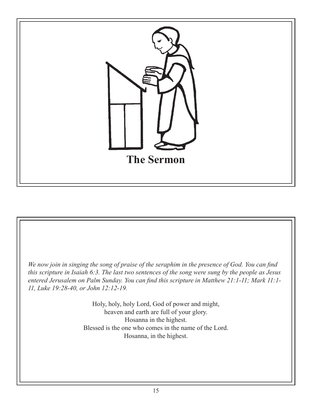

*We now join in singing the song of praise of the seraphim in the presence of God. You can find this scripture in Isaiah 6:3. The last two sentences of the song were sung by the people as Jesus entered Jerusalem on Palm Sunday. You can find this scripture in Matthew 21:1-11; Mark 11:1- 11, Luke 19:28-40, or John 12:12-19.*

> Holy, holy, holy Lord, God of power and might, heaven and earth are full of your glory. Hosanna in the highest. Blessed is the one who comes in the name of the Lord. Hosanna, in the highest.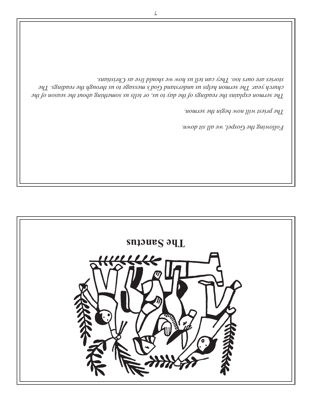

*Following the Gospel, we all sit down.* 

*The priest will now begin the sermon.*

*The sermon explains the readings of the day to us, or tells us something about the season of the church year. The sermon helps us understand God's message to us through the readings. The stories are ours too. They can tell us how we should live as Christians.*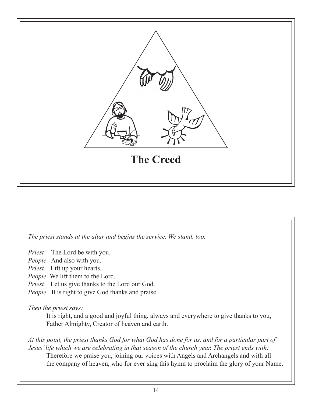

*The priest stands at the altar and begins the service. We stand, too.*

*Priest* The Lord be with you.

*People* And also with you.

*Priest* Lift up your hearts.

*People* We lift them to the Lord.

*Priest* Let us give thanks to the Lord our God.

*People* It is right to give God thanks and praise.

*Then the priest says:*

It is right, and a good and joyful thing, always and everywhere to give thanks to you, Father Almighty, Creator of heaven and earth.

*At this point, the priest thanks God for what God has done for us, and for a particular part of Jesus' life which we are celebrating in that season of the church year. The priest ends with:* Therefore we praise you, joining our voices with Angels and Archangels and with all the company of heaven, who for ever sing this hymn to proclaim the glory of your Name.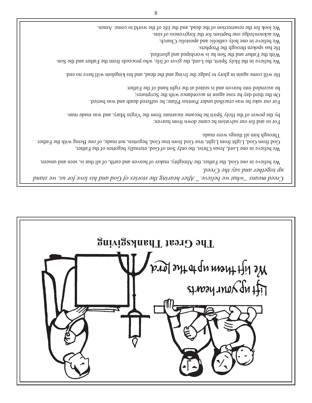

*Creed means "what we believe." After hearing the stories of God and his love for us, we stand up together and say the Creed.*  We believe in one God, the Father, the Almighty, maker of heaven and earth, of all that is, seen and unseen.

We believe in one Lord, Jesus Christ, the only Son of God, eternally begotten of the Father, . God from God, Light from Light, true God from true God, begotten, not made, of one Being with the Father Through him all things were made.

For us and for our salvation he came down from heaven: by the power of the Holy Spirit he became incarnate from the Virgin Mary, and was made man.

For our sake he was crucified under Pontius Pilate; he suffered death and was buried. On the third day he rose again in accordance with the Scriptures; he ascended into heaven and is seated at the right hand of the Father.

He will come again in glory to judge the living and the dead, and his kingdom will have no end.

We believe in the Holy Spirit, the Lord, the siver of life, who proceeds from the Father and the Son. With the Father and the Son he is worshiped and glorified.

He has spoken through the Prophets.

We believe in one holy catholic and apostolic Church. We acknowledge one baptism for the forgiveness of sins.

We look for the resurrection of the dead, and the life of the world to come. Amen.

8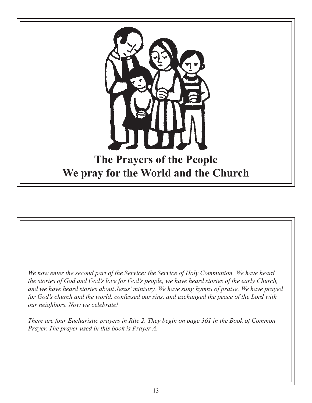

*We now enter the second part of the Service: the Service of Holy Communion. We have heard the stories of God and God's love for God's people, we have heard stories of the early Church, and we have heard stories about Jesus' ministry. We have sung hymns of praise. We have prayed for God's church and the world, confessed our sins, and exchanged the peace of the Lord with our neighbors. Now we celebrate!*

*There are four Eucharistic prayers in Rite 2. They begin on page 361 in the Book of Common Prayer. The prayer used in this book is Prayer A.*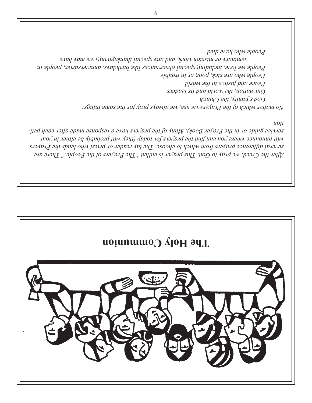

*After the Creed, we pray to God. This prayer is called "The Prayers of the People." There are several difference prayers from which to choose. The lay reader or priest who leads the Prayers will announce where you can find the prayers for today (they will probably be either in your - esponse made after each peti service guide or in the Prayer Book). Many of the prayers have a r tion.*

*No matter which of the Prayers we use, we always pray for the same things: God's family, the Church Our nation, the world and its leaders Peace and justice in the world People who are sick, poor, or in trouble*

*People we love, including special observances like birthdays, anniversaries, people in seminary or mission work, and any special thanksgivings we may have People who have died*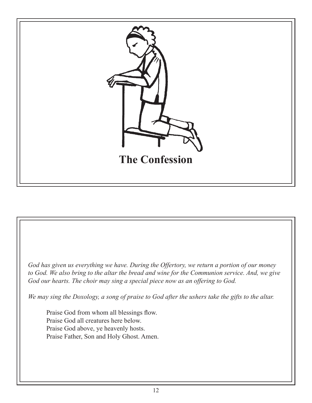

*God has given us everything we have. During the Offertory, we return a portion of our money*  to God. We also bring to the altar the bread and wine for the Communion service. And, we give *God our hearts. The choir may sing a special piece now as an offering to God.*

*We may sing the Doxology, a song of praise to God after the ushers take the gifts to the altar.*

Praise God from whom all blessings flow. Praise God all creatures here below. Praise God above, ye heavenly hosts. Praise Father, Son and Holy Ghost. Amen.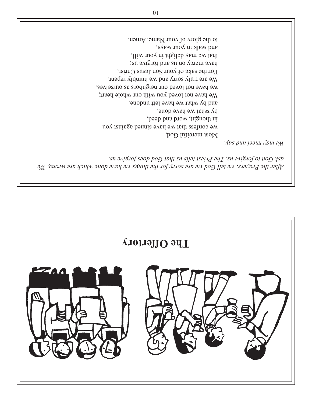

Most merciful God, we confess that we have sinned against you in thought, word and deed, by what we have done, and by what we have left undone. We have not loved you with our whole heart; we have not loved our neighbors as ourselves. We are truly sorry and we humbly repent. For the sake of your Son Jesus Christ, have mercy on us and forgive us; that we may delight in your will, and walk in your ways, to the glory of your Mame. Amen.